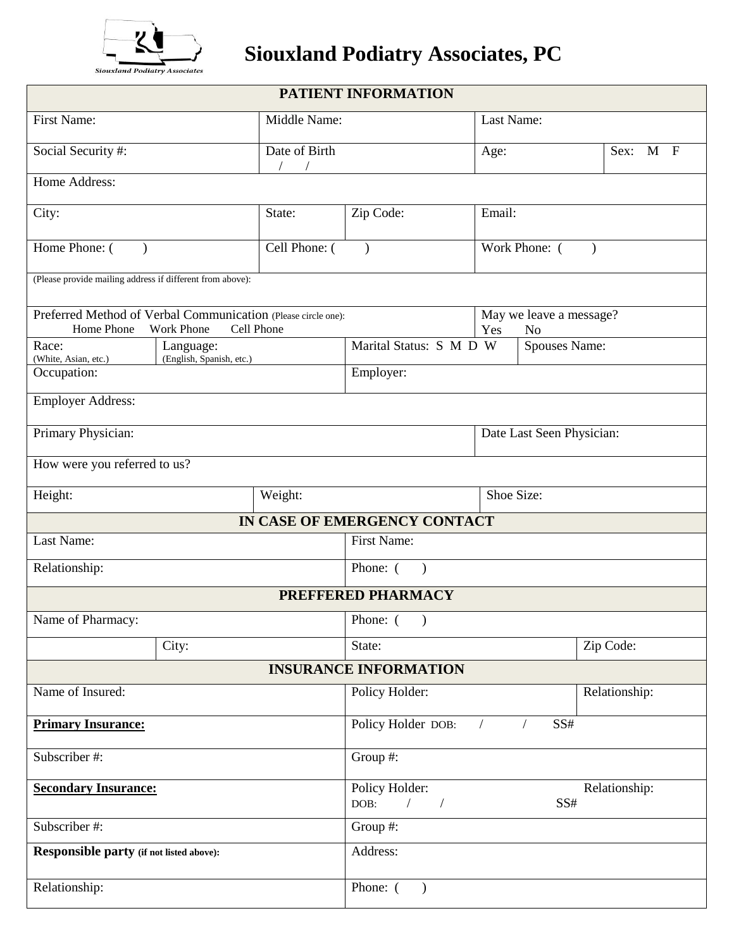

## **Siouxland Podiatry Associates, PC**

| PATIENT INFORMATION                                                         |                                                                            |                                         |                                      |                      |          |  |  |  |  |
|-----------------------------------------------------------------------------|----------------------------------------------------------------------------|-----------------------------------------|--------------------------------------|----------------------|----------|--|--|--|--|
| First Name:                                                                 |                                                                            | Middle Name:                            | Last Name:                           |                      |          |  |  |  |  |
| Social Security #:                                                          |                                                                            | Date of Birth                           | Age:                                 |                      | Sex: M F |  |  |  |  |
| Home Address:                                                               |                                                                            |                                         |                                      |                      |          |  |  |  |  |
| City:                                                                       |                                                                            | State:                                  | Zip Code:                            | Email:               |          |  |  |  |  |
| Home Phone: (                                                               | Cell Phone: (                                                              | $\lambda$                               | Work Phone: (<br>$\lambda$           |                      |          |  |  |  |  |
| (Please provide mailing address if different from above):                   |                                                                            |                                         |                                      |                      |          |  |  |  |  |
| Preferred Method of Verbal Communication (Please circle one):<br>Home Phone | <b>Work Phone</b><br>Cell Phone                                            |                                         | May we leave a message?<br>Yes<br>No |                      |          |  |  |  |  |
| Race:                                                                       | Language:                                                                  |                                         | Marital Status: S M D W              | <b>Spouses Name:</b> |          |  |  |  |  |
| (White, Asian, etc.)<br>Occupation:                                         | (English, Spanish, etc.)                                                   | Employer:                               |                                      |                      |          |  |  |  |  |
| Employer Address:                                                           |                                                                            |                                         |                                      |                      |          |  |  |  |  |
| Primary Physician:                                                          |                                                                            | Date Last Seen Physician:               |                                      |                      |          |  |  |  |  |
| How were you referred to us?                                                |                                                                            |                                         |                                      |                      |          |  |  |  |  |
| Height:                                                                     |                                                                            | Weight:                                 |                                      | Shoe Size:           |          |  |  |  |  |
|                                                                             |                                                                            |                                         | IN CASE OF EMERGENCY CONTACT         |                      |          |  |  |  |  |
| Last Name:                                                                  |                                                                            | First Name:                             |                                      |                      |          |  |  |  |  |
| Relationship:                                                               |                                                                            |                                         | Phone: (<br>$\big)$                  |                      |          |  |  |  |  |
|                                                                             |                                                                            |                                         | PREFFERED PHARMACY                   |                      |          |  |  |  |  |
| Name of Pharmacy:                                                           |                                                                            | Phone: (                                |                                      |                      |          |  |  |  |  |
| City:                                                                       |                                                                            |                                         | State:                               | Zip Code:            |          |  |  |  |  |
|                                                                             |                                                                            |                                         | <b>INSURANCE INFORMATION</b>         |                      |          |  |  |  |  |
| Name of Insured:                                                            |                                                                            | Policy Holder:<br>Relationship:         |                                      |                      |          |  |  |  |  |
| <b>Primary Insurance:</b>                                                   |                                                                            | Policy Holder DOB:<br>SS#<br>$\sqrt{2}$ |                                      |                      |          |  |  |  |  |
| Subscriber #:                                                               | Group #:                                                                   |                                         |                                      |                      |          |  |  |  |  |
| <b>Secondary Insurance:</b>                                                 | Policy Holder:<br>Relationship:<br>DOB:<br>$\sqrt{2}$<br>SS#<br>$\sqrt{2}$ |                                         |                                      |                      |          |  |  |  |  |
| Subscriber #:                                                               |                                                                            | Group #:                                |                                      |                      |          |  |  |  |  |
| <b>Responsible party</b> (if not listed above):                             |                                                                            | Address:                                |                                      |                      |          |  |  |  |  |
| Relationship:                                                               |                                                                            | Phone: (<br>$\lambda$                   |                                      |                      |          |  |  |  |  |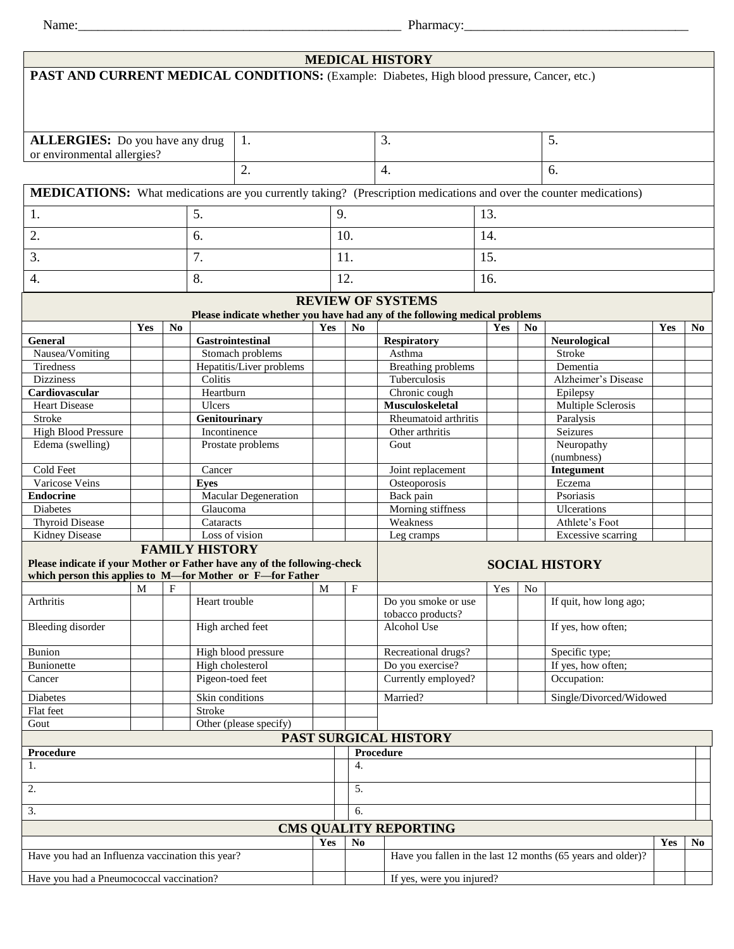Name:\_\_\_\_\_\_\_\_\_\_\_\_\_\_\_\_\_\_\_\_\_\_\_\_\_\_\_\_\_\_\_\_\_\_\_\_\_\_\_\_\_\_\_\_\_\_\_\_\_ Pharmacy:\_\_\_\_\_\_\_\_\_\_\_\_\_\_\_\_\_\_\_\_\_\_\_\_\_\_\_\_\_\_\_\_\_\_

|                                                                                                                            |                                                                                                                 |                |                                     |                        |     |                           | <b>MEDICAL HISTORY</b>    |                                                                            |                |                         |     |                |  |
|----------------------------------------------------------------------------------------------------------------------------|-----------------------------------------------------------------------------------------------------------------|----------------|-------------------------------------|------------------------|-----|---------------------------|---------------------------|----------------------------------------------------------------------------|----------------|-------------------------|-----|----------------|--|
| PAST AND CURRENT MEDICAL CONDITIONS: (Example: Diabetes, High blood pressure, Cancer, etc.)                                |                                                                                                                 |                |                                     |                        |     |                           |                           |                                                                            |                |                         |     |                |  |
|                                                                                                                            |                                                                                                                 |                |                                     |                        |     |                           |                           |                                                                            |                |                         |     |                |  |
|                                                                                                                            |                                                                                                                 |                |                                     |                        |     |                           |                           |                                                                            |                |                         |     |                |  |
|                                                                                                                            |                                                                                                                 |                |                                     |                        |     |                           |                           |                                                                            |                |                         |     |                |  |
|                                                                                                                            |                                                                                                                 |                |                                     |                        |     |                           |                           |                                                                            |                |                         |     |                |  |
| <b>ALLERGIES:</b> Do you have any drug<br>1.                                                                               |                                                                                                                 |                |                                     | 3.                     |     |                           |                           |                                                                            | 5.             |                         |     |                |  |
| or environmental allergies?                                                                                                |                                                                                                                 |                |                                     |                        |     |                           |                           |                                                                            |                |                         |     |                |  |
| 2.                                                                                                                         |                                                                                                                 |                |                                     |                        |     |                           | 4.                        |                                                                            |                | 6.                      |     |                |  |
| <b>MEDICATIONS:</b> What medications are you currently taking? (Prescription medications and over the counter medications) |                                                                                                                 |                |                                     |                        |     |                           |                           |                                                                            |                |                         |     |                |  |
|                                                                                                                            |                                                                                                                 |                |                                     |                        |     |                           |                           |                                                                            |                |                         |     |                |  |
| 5.<br>1.                                                                                                                   |                                                                                                                 | 9.             |                                     | 13.                    |     |                           |                           |                                                                            |                |                         |     |                |  |
|                                                                                                                            |                                                                                                                 |                |                                     |                        |     |                           |                           |                                                                            |                |                         |     |                |  |
| 6.<br>2.                                                                                                                   |                                                                                                                 |                |                                     | 10.                    |     |                           | 14.                       |                                                                            |                |                         |     |                |  |
| 7.<br>3.                                                                                                                   |                                                                                                                 |                |                                     | 11.                    |     |                           | 15.                       |                                                                            |                |                         |     |                |  |
|                                                                                                                            |                                                                                                                 |                |                                     |                        |     |                           |                           |                                                                            |                |                         |     |                |  |
| 4.                                                                                                                         |                                                                                                                 |                | 8.                                  |                        | 12. |                           |                           | 16.                                                                        |                |                         |     |                |  |
| <b>REVIEW OF SYSTEMS</b>                                                                                                   |                                                                                                                 |                |                                     |                        |     |                           |                           |                                                                            |                |                         |     |                |  |
|                                                                                                                            |                                                                                                                 |                |                                     |                        |     |                           |                           |                                                                            |                |                         |     |                |  |
|                                                                                                                            |                                                                                                                 |                |                                     |                        |     |                           |                           | Please indicate whether you have had any of the following medical problems |                |                         |     |                |  |
| General                                                                                                                    | Yes                                                                                                             | N <sub>0</sub> |                                     | Gastrointestinal       | Yes | N <sub>0</sub>            | <b>Respiratory</b>        | Yes                                                                        | N <sub>0</sub> | <b>Neurological</b>     | Yes | N <sub>0</sub> |  |
| Nausea/Vomiting                                                                                                            |                                                                                                                 |                |                                     | Stomach problems       |     |                           | Asthma                    |                                                                            |                | <b>Stroke</b>           |     |                |  |
| Tiredness                                                                                                                  |                                                                                                                 |                |                                     |                        |     |                           | <b>Breathing problems</b> |                                                                            |                | Dementia                |     |                |  |
| <b>Dizziness</b>                                                                                                           |                                                                                                                 |                | Hepatitis/Liver problems<br>Colitis |                        |     |                           | Tuberculosis              |                                                                            |                | Alzheimer's Disease     |     |                |  |
| Cardiovascular                                                                                                             |                                                                                                                 |                | Heartburn                           |                        |     |                           | Chronic cough             |                                                                            |                | Epilepsy                |     |                |  |
| <b>Heart Disease</b>                                                                                                       |                                                                                                                 |                | Ulcers                              |                        |     |                           | Musculoskeletal           |                                                                            |                | Multiple Sclerosis      |     |                |  |
| Stroke                                                                                                                     |                                                                                                                 |                | <b>Genitourinary</b>                |                        |     |                           | Rheumatoid arthritis      |                                                                            |                | Paralysis               |     |                |  |
| <b>High Blood Pressure</b>                                                                                                 |                                                                                                                 |                | Incontinence                        |                        |     |                           | Other arthritis           |                                                                            |                | Seizures                |     |                |  |
| Edema (swelling)                                                                                                           |                                                                                                                 |                | Prostate problems                   |                        |     |                           | Gout                      |                                                                            |                | Neuropathy              |     |                |  |
|                                                                                                                            |                                                                                                                 |                |                                     |                        |     |                           |                           |                                                                            |                | (numbness)              |     |                |  |
| Cold Feet                                                                                                                  |                                                                                                                 |                | Cancer                              |                        |     |                           | Joint replacement         |                                                                            |                | Integument              |     |                |  |
| Varicose Veins                                                                                                             |                                                                                                                 |                | <b>Eyes</b>                         |                        |     |                           | Osteoporosis              |                                                                            |                | Eczema                  |     |                |  |
| <b>Endocrine</b>                                                                                                           |                                                                                                                 |                | <b>Macular Degeneration</b>         |                        |     |                           | Back pain                 |                                                                            |                | Psoriasis               |     |                |  |
| <b>Diabetes</b>                                                                                                            |                                                                                                                 |                | Glaucoma                            |                        |     |                           | Morning stiffness         |                                                                            |                | Ulcerations             |     |                |  |
| <b>Thyroid Disease</b>                                                                                                     |                                                                                                                 |                | Cataracts                           |                        |     |                           | Weakness                  |                                                                            |                | Athlete's Foot          |     |                |  |
| Kidney Disease                                                                                                             |                                                                                                                 |                | Loss of vision                      |                        |     |                           | Leg cramps                |                                                                            |                | Excessive scarring      |     |                |  |
|                                                                                                                            | <b>FAMILY HISTORY</b>                                                                                           |                |                                     |                        |     |                           |                           |                                                                            |                |                         |     |                |  |
|                                                                                                                            | Please indicate if your Mother or Father have any of the following-check<br><b>SOCIAL HISTORY</b>               |                |                                     |                        |     |                           |                           |                                                                            |                |                         |     |                |  |
|                                                                                                                            | which person this applies to M—for Mother or F—for Father                                                       |                |                                     |                        |     |                           |                           |                                                                            |                |                         |     |                |  |
|                                                                                                                            | M                                                                                                               | $\mathbf F$    |                                     |                        | M   | $\boldsymbol{\mathrm{F}}$ |                           | Yes                                                                        | No             |                         |     |                |  |
| Arthritis                                                                                                                  |                                                                                                                 |                | Heart trouble                       |                        |     |                           | Do you smoke or use       |                                                                            |                | If quit, how long ago;  |     |                |  |
|                                                                                                                            |                                                                                                                 |                |                                     |                        |     |                           | tobacco products?         |                                                                            |                |                         |     |                |  |
| <b>Bleeding disorder</b>                                                                                                   |                                                                                                                 |                | High arched feet                    |                        |     |                           | Alcohol Use               |                                                                            |                | If yes, how often;      |     |                |  |
| <b>Bunion</b>                                                                                                              |                                                                                                                 |                |                                     | High blood pressure    |     |                           | Recreational drugs?       |                                                                            |                | Specific type;          |     |                |  |
| <b>Bunionette</b>                                                                                                          |                                                                                                                 |                | High cholesterol                    |                        |     |                           | Do you exercise?          |                                                                            |                | If yes, how often;      |     |                |  |
| Cancer                                                                                                                     |                                                                                                                 |                | Pigeon-toed feet                    |                        |     |                           | Currently employed?       |                                                                            |                | Occupation:             |     |                |  |
|                                                                                                                            |                                                                                                                 |                |                                     |                        |     |                           |                           |                                                                            |                |                         |     |                |  |
| Diabetes                                                                                                                   |                                                                                                                 |                | Skin conditions                     |                        |     |                           | Married?                  |                                                                            |                | Single/Divorced/Widowed |     |                |  |
| Stroke<br>Flat feet                                                                                                        |                                                                                                                 |                |                                     |                        |     |                           |                           |                                                                            |                |                         |     |                |  |
| Gout                                                                                                                       |                                                                                                                 |                |                                     | Other (please specify) |     |                           |                           |                                                                            |                |                         |     |                |  |
|                                                                                                                            |                                                                                                                 |                |                                     |                        |     |                           | PAST SURGICAL HISTORY     |                                                                            |                |                         |     |                |  |
| Procedure                                                                                                                  |                                                                                                                 |                |                                     |                        |     |                           | Procedure                 |                                                                            |                |                         |     |                |  |
| 1.                                                                                                                         |                                                                                                                 |                |                                     |                        |     | 4.                        |                           |                                                                            |                |                         |     |                |  |
| 2.<br>5.                                                                                                                   |                                                                                                                 |                |                                     |                        |     |                           |                           |                                                                            |                |                         |     |                |  |
|                                                                                                                            |                                                                                                                 |                |                                     |                        |     |                           |                           |                                                                            |                |                         |     |                |  |
| 6.<br>3.                                                                                                                   |                                                                                                                 |                |                                     |                        |     |                           |                           |                                                                            |                |                         |     |                |  |
| <b>CMS QUALITY REPORTING</b>                                                                                               |                                                                                                                 |                |                                     |                        |     |                           |                           |                                                                            |                |                         |     |                |  |
| Yes<br>N <sub>0</sub><br>Yes<br><b>No</b>                                                                                  |                                                                                                                 |                |                                     |                        |     |                           |                           |                                                                            |                |                         |     |                |  |
|                                                                                                                            | Have you had an Influenza vaccination this year?<br>Have you fallen in the last 12 months (65 years and older)? |                |                                     |                        |     |                           |                           |                                                                            |                |                         |     |                |  |
|                                                                                                                            |                                                                                                                 |                |                                     |                        |     |                           |                           |                                                                            |                |                         |     |                |  |
| Have you had a Pneumococcal vaccination?                                                                                   |                                                                                                                 |                |                                     |                        |     | If yes, were you injured? |                           |                                                                            |                |                         |     |                |  |